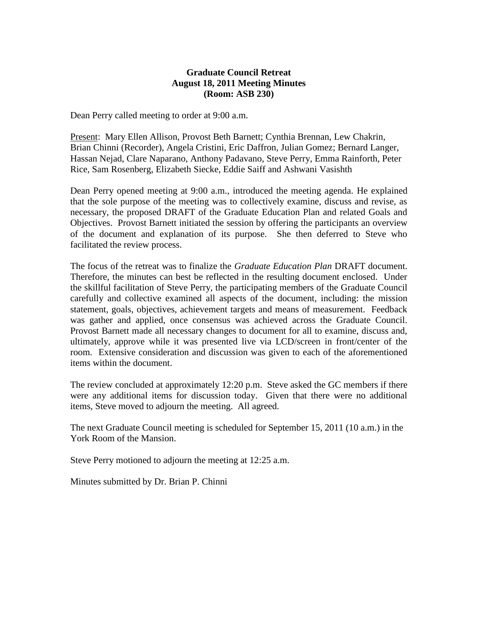### **Graduate Council Retreat August 18, 2011 Meeting Minutes (Room: ASB 230)**

Dean Perry called meeting to order at 9:00 a.m.

Present: Mary Ellen Allison, Provost Beth Barnett; Cynthia Brennan, Lew Chakrin, Brian Chinni (Recorder), Angela Cristini, Eric Daffron, Julian Gomez; Bernard Langer, Hassan Nejad, Clare Naparano, Anthony Padavano, Steve Perry, Emma Rainforth, Peter Rice, Sam Rosenberg, Elizabeth Siecke, Eddie Saiff and Ashwani Vasishth

Dean Perry opened meeting at 9:00 a.m., introduced the meeting agenda. He explained that the sole purpose of the meeting was to collectively examine, discuss and revise, as necessary, the proposed DRAFT of the Graduate Education Plan and related Goals and Objectives. Provost Barnett initiated the session by offering the participants an overview of the document and explanation of its purpose. She then deferred to Steve who facilitated the review process.

The focus of the retreat was to finalize the *Graduate Education Plan* DRAFT document. Therefore, the minutes can best be reflected in the resulting document enclosed. Under the skillful facilitation of Steve Perry, the participating members of the Graduate Council carefully and collective examined all aspects of the document, including: the mission statement, goals, objectives, achievement targets and means of measurement. Feedback was gather and applied, once consensus was achieved across the Graduate Council. Provost Barnett made all necessary changes to document for all to examine, discuss and, ultimately, approve while it was presented live via LCD/screen in front/center of the room. Extensive consideration and discussion was given to each of the aforementioned items within the document.

The review concluded at approximately 12:20 p.m. Steve asked the GC members if there were any additional items for discussion today. Given that there were no additional items, Steve moved to adjourn the meeting. All agreed.

The next Graduate Council meeting is scheduled for September 15, 2011 (10 a.m.) in the York Room of the Mansion.

Steve Perry motioned to adjourn the meeting at 12:25 a.m.

Minutes submitted by Dr. Brian P. Chinni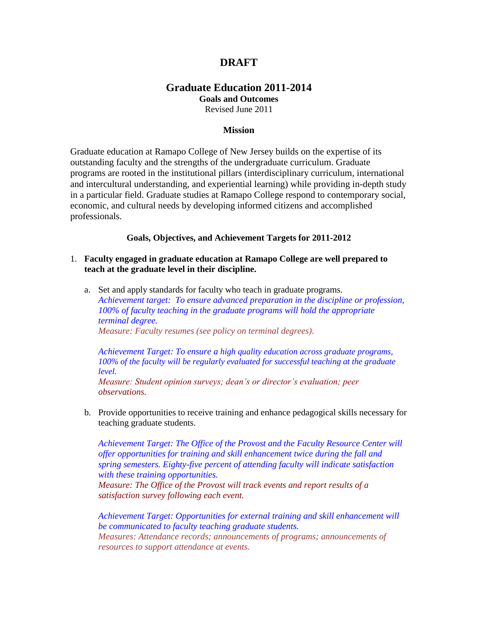# **DRAFT**

## **Graduate Education 2011-2014**

**Goals and Outcomes** 

Revised June 2011

### **Mission**

Graduate education at Ramapo College of New Jersey builds on the expertise of its outstanding faculty and the strengths of the undergraduate curriculum. Graduate programs are rooted in the institutional pillars (interdisciplinary curriculum, international and intercultural understanding, and experiential learning) while providing in-depth study in a particular field. Graduate studies at Ramapo College respond to contemporary social, economic, and cultural needs by developing informed citizens and accomplished professionals.

### **Goals, Objectives, and Achievement Targets for 2011-2012**

- 1. **Faculty engaged in graduate education at Ramapo College are well prepared to teach at the graduate level in their discipline.**
	- a. Set and apply standards for faculty who teach in graduate programs. *Achievement target: To ensure advanced preparation in the discipline or profession, 100% of faculty teaching in the graduate programs will hold the appropriate terminal degree. Measure: Faculty resumes (see policy on terminal degrees).*

*Achievement Target: To ensure a high quality education across graduate programs, 100% of the faculty will be regularly evaluated for successful teaching at the graduate level.*

*Measure: Student opinion surveys; dean's or director's evaluation; peer observations.*

b. Provide opportunities to receive training and enhance pedagogical skills necessary for teaching graduate students.

*Achievement Target: The Office of the Provost and the Faculty Resource Center will offer opportunities for training and skill enhancement twice during the fall and spring semesters. Eighty-five percent of attending faculty will indicate satisfaction with these training opportunities. Measure: The Office of the Provost will track events and report results of a satisfaction survey following each event.*

*Achievement Target: Opportunities for external training and skill enhancement will be communicated to faculty teaching graduate students. Measures: Attendance records; announcements of programs; announcements of resources to support attendance at events.*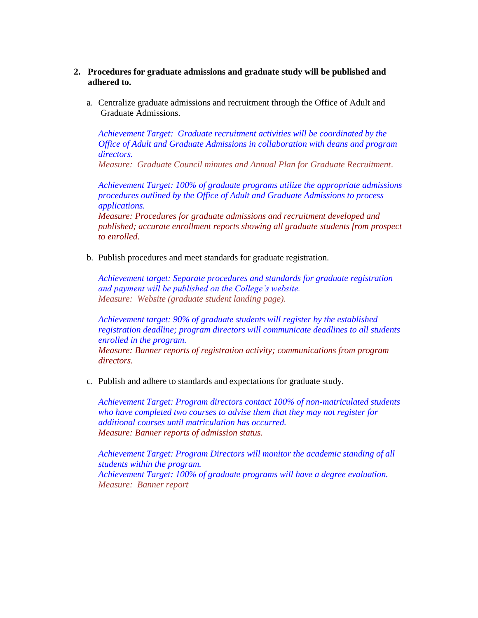- **2. Procedures for graduate admissions and graduate study will be published and adhered to.**
	- a. Centralize graduate admissions and recruitment through the Office of Adult and Graduate Admissions.

*Achievement Target: Graduate recruitment activities will be coordinated by the Office of Adult and Graduate Admissions in collaboration with deans and program directors.*

*Measure: Graduate Council minutes and Annual Plan for Graduate Recruitment.*

*Achievement Target: 100% of graduate programs utilize the appropriate admissions procedures outlined by the Office of Adult and Graduate Admissions to process applications.*

*Measure: Procedures for graduate admissions and recruitment developed and published; accurate enrollment reports showing all graduate students from prospect to enrolled.*

b. Publish procedures and meet standards for graduate registration.

*Achievement target: Separate procedures and standards for graduate registration and payment will be published on the College's website. Measure: Website (graduate student landing page).*

*Achievement target: 90% of graduate students will register by the established registration deadline; program directors will communicate deadlines to all students enrolled in the program. Measure: Banner reports of registration activity; communications from program directors.*

c. Publish and adhere to standards and expectations for graduate study.

*Achievement Target: Program directors contact 100% of non-matriculated students who have completed two courses to advise them that they may not register for additional courses until matriculation has occurred. Measure: Banner reports of admission status.* 

*Achievement Target: Program Directors will monitor the academic standing of all students within the program. Achievement Target: 100% of graduate programs will have a degree evaluation. Measure: Banner report*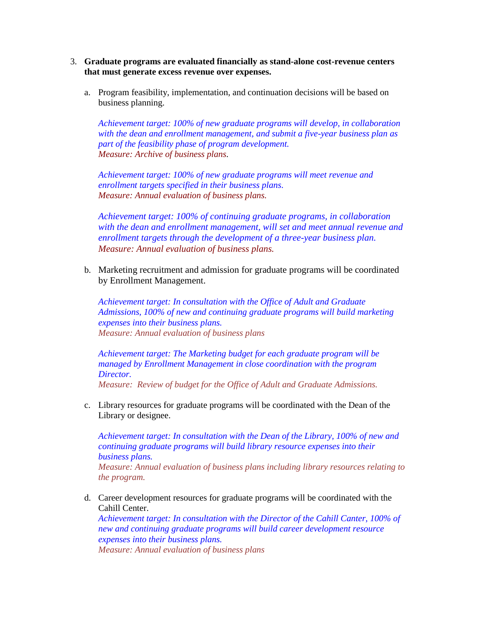- 3. **Graduate programs are evaluated financially as stand-alone cost-revenue centers that must generate excess revenue over expenses.** 
	- a. Program feasibility, implementation, and continuation decisions will be based on business planning.

*Achievement target: 100% of new graduate programs will develop, in collaboration with the dean and enrollment management, and submit a five-year business plan as part of the feasibility phase of program development. Measure: Archive of business plans.*

*Achievement target: 100% of new graduate programs will meet revenue and enrollment targets specified in their business plans. Measure: Annual evaluation of business plans.*

*Achievement target: 100% of continuing graduate programs, in collaboration with the dean and enrollment management, will set and meet annual revenue and enrollment targets through the development of a three-year business plan. Measure: Annual evaluation of business plans.*

b. Marketing recruitment and admission for graduate programs will be coordinated by Enrollment Management.

*Achievement target: In consultation with the Office of Adult and Graduate Admissions, 100% of new and continuing graduate programs will build marketing expenses into their business plans. Measure: Annual evaluation of business plans*

*Achievement target: The Marketing budget for each graduate program will be managed by Enrollment Management in close coordination with the program Director.* 

*Measure: Review of budget for the Office of Adult and Graduate Admissions.* 

c. Library resources for graduate programs will be coordinated with the Dean of the Library or designee.

*Achievement target: In consultation with the Dean of the Library, 100% of new and continuing graduate programs will build library resource expenses into their business plans. Measure: Annual evaluation of business plans including library resources relating to the program.*

d. Career development resources for graduate programs will be coordinated with the Cahill Center.

*Achievement target: In consultation with the Director of the Cahill Canter, 100% of new and continuing graduate programs will build career development resource expenses into their business plans. Measure: Annual evaluation of business plans*